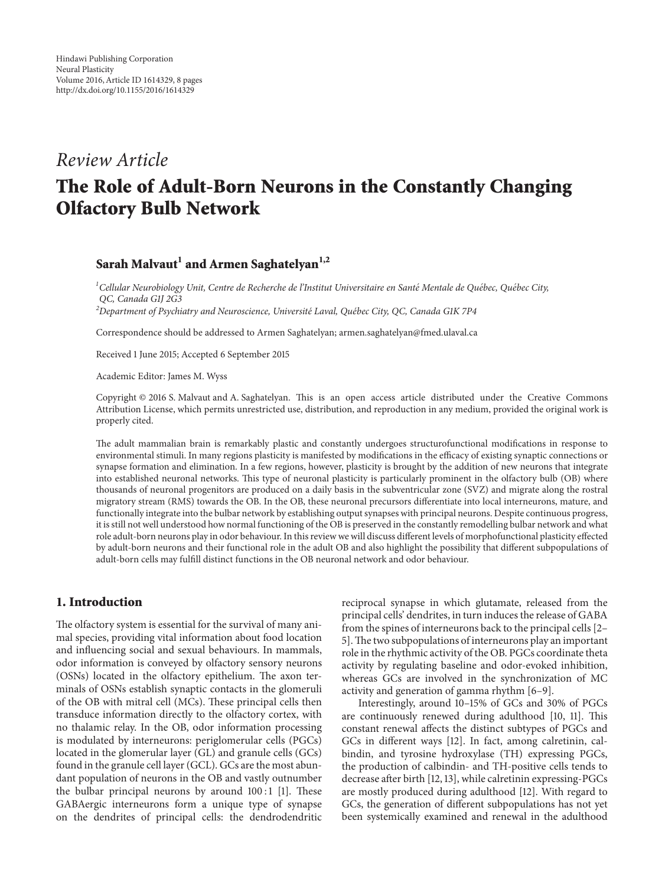## *Review Article*

# **The Role of Adult-Born Neurons in the Constantly Changing Olfactory Bulb Network**

### Sarah Malvaut<sup>1</sup> and Armen Saghatelyan<sup>1,2</sup>

*1 Cellular Neurobiology Unit, Centre de Recherche de l'Institut Universitaire en Sante Mentale de Qu ´ ebec, Qu ´ ebec City, ´ QC, Canada G1J 2G3*

*2 Department of Psychiatry and Neuroscience, Universite Laval, Qu ´ ebec City, QC, Canada G1K 7P4 ´*

Correspondence should be addressed to Armen Saghatelyan; armen.saghatelyan@fmed.ulaval.ca

Received 1 June 2015; Accepted 6 September 2015

Academic Editor: James M. Wyss

Copyright © 2016 S. Malvaut and A. Saghatelyan. This is an open access article distributed under the Creative Commons Attribution License, which permits unrestricted use, distribution, and reproduction in any medium, provided the original work is properly cited.

The adult mammalian brain is remarkably plastic and constantly undergoes structurofunctional modifications in response to environmental stimuli. In many regions plasticity is manifested by modifications in the efficacy of existing synaptic connections or synapse formation and elimination. In a few regions, however, plasticity is brought by the addition of new neurons that integrate into established neuronal networks. This type of neuronal plasticity is particularly prominent in the olfactory bulb (OB) where thousands of neuronal progenitors are produced on a daily basis in the subventricular zone (SVZ) and migrate along the rostral migratory stream (RMS) towards the OB. In the OB, these neuronal precursors differentiate into local interneurons, mature, and functionally integrate into the bulbar network by establishing output synapses with principal neurons. Despite continuous progress, it is still not well understood how normal functioning of the OB is preserved in the constantly remodelling bulbar network and what role adult-born neurons play in odor behaviour. In this review we will discuss different levels of morphofunctional plasticity effected by adult-born neurons and their functional role in the adult OB and also highlight the possibility that different subpopulations of adult-born cells may fulfill distinct functions in the OB neuronal network and odor behaviour.

#### **1. Introduction**

The olfactory system is essential for the survival of many animal species, providing vital information about food location and influencing social and sexual behaviours. In mammals, odor information is conveyed by olfactory sensory neurons (OSNs) located in the olfactory epithelium. The axon terminals of OSNs establish synaptic contacts in the glomeruli of the OB with mitral cell (MCs). These principal cells then transduce information directly to the olfactory cortex, with no thalamic relay. In the OB, odor information processing is modulated by interneurons: periglomerular cells (PGCs) located in the glomerular layer (GL) and granule cells (GCs) found in the granule cell layer (GCL). GCs are the most abundant population of neurons in the OB and vastly outnumber the bulbar principal neurons by around  $100:1$  [1]. These GABAergic interneurons form a unique type of synapse on the dendrites of principal cells: the dendrodendritic

reciprocal synapse in which glutamate, released from the principal cells' dendrites, in turn induces the release of GABA from the spines of interneurons back to the principal cells [2– 5].The two subpopulations of interneurons play an important role in the rhythmic activity of the OB. PGCs coordinate theta activity by regulating baseline and odor-evoked inhibition, whereas GCs are involved in the synchronization of MC activity and generation of gamma rhythm [6–9].

Interestingly, around 10–15% of GCs and 30% of PGCs are continuously renewed during adulthood [10, 11]. This constant renewal affects the distinct subtypes of PGCs and GCs in different ways [12]. In fact, among calretinin, calbindin, and tyrosine hydroxylase (TH) expressing PGCs, the production of calbindin- and TH-positive cells tends to decrease after birth [12, 13], while calretinin expressing-PGCs are mostly produced during adulthood [12]. With regard to GCs, the generation of different subpopulations has not yet been systemically examined and renewal in the adulthood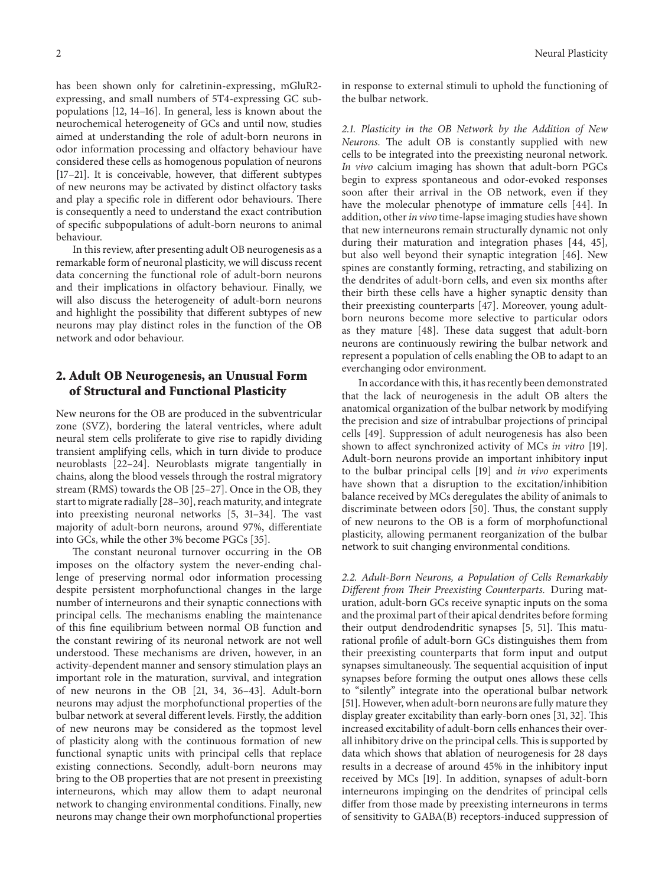has been shown only for calretinin-expressing, mGluR2 expressing, and small numbers of 5T4-expressing GC subpopulations [12, 14–16]. In general, less is known about the neurochemical heterogeneity of GCs and until now, studies aimed at understanding the role of adult-born neurons in odor information processing and olfactory behaviour have considered these cells as homogenous population of neurons [17–21]. It is conceivable, however, that different subtypes of new neurons may be activated by distinct olfactory tasks and play a specific role in different odor behaviours. There is consequently a need to understand the exact contribution of specific subpopulations of adult-born neurons to animal behaviour.

In this review, after presenting adult OB neurogenesis as a remarkable form of neuronal plasticity, we will discuss recent data concerning the functional role of adult-born neurons and their implications in olfactory behaviour. Finally, we will also discuss the heterogeneity of adult-born neurons and highlight the possibility that different subtypes of new neurons may play distinct roles in the function of the OB network and odor behaviour.

#### **2. Adult OB Neurogenesis, an Unusual Form of Structural and Functional Plasticity**

New neurons for the OB are produced in the subventricular zone (SVZ), bordering the lateral ventricles, where adult neural stem cells proliferate to give rise to rapidly dividing transient amplifying cells, which in turn divide to produce neuroblasts [22–24]. Neuroblasts migrate tangentially in chains, along the blood vessels through the rostral migratory stream (RMS) towards the OB [25–27]. Once in the OB, they start to migrate radially [28–30], reach maturity, and integrate into preexisting neuronal networks [5, 31–34]. The vast majority of adult-born neurons, around 97%, differentiate into GCs, while the other 3% become PGCs [35].

The constant neuronal turnover occurring in the OB imposes on the olfactory system the never-ending challenge of preserving normal odor information processing despite persistent morphofunctional changes in the large number of interneurons and their synaptic connections with principal cells. The mechanisms enabling the maintenance of this fine equilibrium between normal OB function and the constant rewiring of its neuronal network are not well understood. These mechanisms are driven, however, in an activity-dependent manner and sensory stimulation plays an important role in the maturation, survival, and integration of new neurons in the OB [21, 34, 36–43]. Adult-born neurons may adjust the morphofunctional properties of the bulbar network at several different levels. Firstly, the addition of new neurons may be considered as the topmost level of plasticity along with the continuous formation of new functional synaptic units with principal cells that replace existing connections. Secondly, adult-born neurons may bring to the OB properties that are not present in preexisting interneurons, which may allow them to adapt neuronal network to changing environmental conditions. Finally, new neurons may change their own morphofunctional properties

in response to external stimuli to uphold the functioning of the bulbar network.

*2.1. Plasticity in the OB Network by the Addition of New Neurons.* The adult OB is constantly supplied with new cells to be integrated into the preexisting neuronal network. *In vivo* calcium imaging has shown that adult-born PGCs begin to express spontaneous and odor-evoked responses soon after their arrival in the OB network, even if they have the molecular phenotype of immature cells [44]. In addition, other*in vivo* time-lapse imaging studies have shown that new interneurons remain structurally dynamic not only during their maturation and integration phases [44, 45], but also well beyond their synaptic integration [46]. New spines are constantly forming, retracting, and stabilizing on the dendrites of adult-born cells, and even six months after their birth these cells have a higher synaptic density than their preexisting counterparts [47]. Moreover, young adultborn neurons become more selective to particular odors as they mature [48]. These data suggest that adult-born neurons are continuously rewiring the bulbar network and represent a population of cells enabling the OB to adapt to an everchanging odor environment.

In accordance with this, it has recently been demonstrated that the lack of neurogenesis in the adult OB alters the anatomical organization of the bulbar network by modifying the precision and size of intrabulbar projections of principal cells [49]. Suppression of adult neurogenesis has also been shown to affect synchronized activity of MCs *in vitro* [19]. Adult-born neurons provide an important inhibitory input to the bulbar principal cells [19] and *in vivo* experiments have shown that a disruption to the excitation/inhibition balance received by MCs deregulates the ability of animals to discriminate between odors [50]. Thus, the constant supply of new neurons to the OB is a form of morphofunctional plasticity, allowing permanent reorganization of the bulbar network to suit changing environmental conditions.

*2.2. Adult-Born Neurons, a Population of Cells Remarkably Different from Their Preexisting Counterparts.* During maturation, adult-born GCs receive synaptic inputs on the soma and the proximal part of their apical dendrites before forming their output dendrodendritic synapses [5, 51]. This maturational profile of adult-born GCs distinguishes them from their preexisting counterparts that form input and output synapses simultaneously. The sequential acquisition of input synapses before forming the output ones allows these cells to "silently" integrate into the operational bulbar network [51]. However, when adult-born neurons are fully mature they display greater excitability than early-born ones [31, 32]. This increased excitability of adult-born cells enhances their overall inhibitory drive on the principal cells. This is supported by data which shows that ablation of neurogenesis for 28 days results in a decrease of around 45% in the inhibitory input received by MCs [19]. In addition, synapses of adult-born interneurons impinging on the dendrites of principal cells differ from those made by preexisting interneurons in terms of sensitivity to GABA(B) receptors-induced suppression of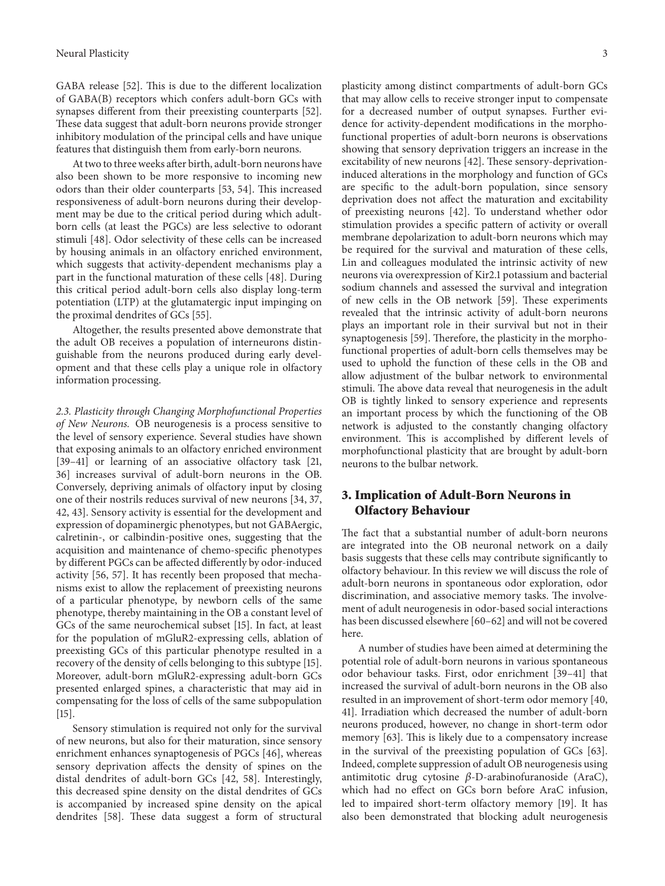GABA release [52]. This is due to the different localization of GABA(B) receptors which confers adult-born GCs with synapses different from their preexisting counterparts [52]. These data suggest that adult-born neurons provide stronger inhibitory modulation of the principal cells and have unique features that distinguish them from early-born neurons.

At two to three weeks after birth, adult-born neurons have also been shown to be more responsive to incoming new odors than their older counterparts [53, 54]. This increased responsiveness of adult-born neurons during their development may be due to the critical period during which adultborn cells (at least the PGCs) are less selective to odorant stimuli [48]. Odor selectivity of these cells can be increased by housing animals in an olfactory enriched environment, which suggests that activity-dependent mechanisms play a part in the functional maturation of these cells [48]. During this critical period adult-born cells also display long-term potentiation (LTP) at the glutamatergic input impinging on the proximal dendrites of GCs [55].

Altogether, the results presented above demonstrate that the adult OB receives a population of interneurons distinguishable from the neurons produced during early development and that these cells play a unique role in olfactory information processing.

*2.3. Plasticity through Changing Morphofunctional Properties of New Neurons.* OB neurogenesis is a process sensitive to the level of sensory experience. Several studies have shown that exposing animals to an olfactory enriched environment [39–41] or learning of an associative olfactory task [21, 36] increases survival of adult-born neurons in the OB. Conversely, depriving animals of olfactory input by closing one of their nostrils reduces survival of new neurons [34, 37, 42, 43]. Sensory activity is essential for the development and expression of dopaminergic phenotypes, but not GABAergic, calretinin-, or calbindin-positive ones, suggesting that the acquisition and maintenance of chemo-specific phenotypes by different PGCs can be affected differently by odor-induced activity [56, 57]. It has recently been proposed that mechanisms exist to allow the replacement of preexisting neurons of a particular phenotype, by newborn cells of the same phenotype, thereby maintaining in the OB a constant level of GCs of the same neurochemical subset [15]. In fact, at least for the population of mGluR2-expressing cells, ablation of preexisting GCs of this particular phenotype resulted in a recovery of the density of cells belonging to this subtype [15]. Moreover, adult-born mGluR2-expressing adult-born GCs presented enlarged spines, a characteristic that may aid in compensating for the loss of cells of the same subpopulation [15].

Sensory stimulation is required not only for the survival of new neurons, but also for their maturation, since sensory enrichment enhances synaptogenesis of PGCs [46], whereas sensory deprivation affects the density of spines on the distal dendrites of adult-born GCs [42, 58]. Interestingly, this decreased spine density on the distal dendrites of GCs is accompanied by increased spine density on the apical dendrites [58]. These data suggest a form of structural

plasticity among distinct compartments of adult-born GCs that may allow cells to receive stronger input to compensate for a decreased number of output synapses. Further evidence for activity-dependent modifications in the morphofunctional properties of adult-born neurons is observations showing that sensory deprivation triggers an increase in the excitability of new neurons [42]. These sensory-deprivationinduced alterations in the morphology and function of GCs are specific to the adult-born population, since sensory deprivation does not affect the maturation and excitability of preexisting neurons [42]. To understand whether odor stimulation provides a specific pattern of activity or overall membrane depolarization to adult-born neurons which may be required for the survival and maturation of these cells, Lin and colleagues modulated the intrinsic activity of new neurons via overexpression of Kir2.1 potassium and bacterial sodium channels and assessed the survival and integration of new cells in the OB network [59]. These experiments revealed that the intrinsic activity of adult-born neurons plays an important role in their survival but not in their synaptogenesis [59]. Therefore, the plasticity in the morphofunctional properties of adult-born cells themselves may be used to uphold the function of these cells in the OB and allow adjustment of the bulbar network to environmental stimuli. The above data reveal that neurogenesis in the adult OB is tightly linked to sensory experience and represents an important process by which the functioning of the OB network is adjusted to the constantly changing olfactory environment. This is accomplished by different levels of morphofunctional plasticity that are brought by adult-born neurons to the bulbar network.

#### **3. Implication of Adult-Born Neurons in Olfactory Behaviour**

The fact that a substantial number of adult-born neurons are integrated into the OB neuronal network on a daily basis suggests that these cells may contribute significantly to olfactory behaviour. In this review we will discuss the role of adult-born neurons in spontaneous odor exploration, odor discrimination, and associative memory tasks. The involvement of adult neurogenesis in odor-based social interactions has been discussed elsewhere [60–62] and will not be covered here.

A number of studies have been aimed at determining the potential role of adult-born neurons in various spontaneous odor behaviour tasks. First, odor enrichment [39–41] that increased the survival of adult-born neurons in the OB also resulted in an improvement of short-term odor memory [40, 41]. Irradiation which decreased the number of adult-born neurons produced, however, no change in short-term odor memory [63]. This is likely due to a compensatory increase in the survival of the preexisting population of GCs [63]. Indeed, complete suppression of adult OB neurogenesis using antimitotic drug cytosine  $\beta$ -D-arabinofuranoside (AraC), which had no effect on GCs born before AraC infusion, led to impaired short-term olfactory memory [19]. It has also been demonstrated that blocking adult neurogenesis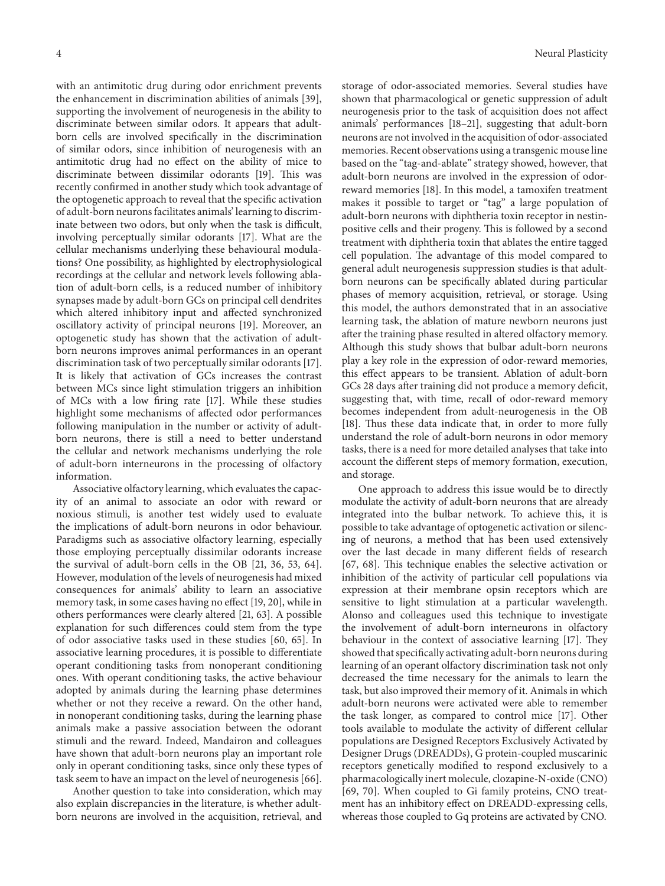with an antimitotic drug during odor enrichment prevents the enhancement in discrimination abilities of animals [39], supporting the involvement of neurogenesis in the ability to discriminate between similar odors. It appears that adultborn cells are involved specifically in the discrimination of similar odors, since inhibition of neurogenesis with an antimitotic drug had no effect on the ability of mice to discriminate between dissimilar odorants [19]. This was recently confirmed in another study which took advantage of the optogenetic approach to reveal that the specific activation of adult-born neurons facilitates animals' learning to discriminate between two odors, but only when the task is difficult, involving perceptually similar odorants [17]. What are the cellular mechanisms underlying these behavioural modulations? One possibility, as highlighted by electrophysiological recordings at the cellular and network levels following ablation of adult-born cells, is a reduced number of inhibitory synapses made by adult-born GCs on principal cell dendrites which altered inhibitory input and affected synchronized oscillatory activity of principal neurons [19]. Moreover, an optogenetic study has shown that the activation of adultborn neurons improves animal performances in an operant discrimination task of two perceptually similar odorants [17]. It is likely that activation of GCs increases the contrast between MCs since light stimulation triggers an inhibition of MCs with a low firing rate [17]. While these studies highlight some mechanisms of affected odor performances following manipulation in the number or activity of adultborn neurons, there is still a need to better understand the cellular and network mechanisms underlying the role of adult-born interneurons in the processing of olfactory information.

Associative olfactory learning, which evaluates the capacity of an animal to associate an odor with reward or noxious stimuli, is another test widely used to evaluate the implications of adult-born neurons in odor behaviour. Paradigms such as associative olfactory learning, especially those employing perceptually dissimilar odorants increase the survival of adult-born cells in the OB [21, 36, 53, 64]. However, modulation of the levels of neurogenesis had mixed consequences for animals' ability to learn an associative memory task, in some cases having no effect [19, 20], while in others performances were clearly altered [21, 63]. A possible explanation for such differences could stem from the type of odor associative tasks used in these studies [60, 65]. In associative learning procedures, it is possible to differentiate operant conditioning tasks from nonoperant conditioning ones. With operant conditioning tasks, the active behaviour adopted by animals during the learning phase determines whether or not they receive a reward. On the other hand, in nonoperant conditioning tasks, during the learning phase animals make a passive association between the odorant stimuli and the reward. Indeed, Mandairon and colleagues have shown that adult-born neurons play an important role only in operant conditioning tasks, since only these types of task seem to have an impact on the level of neurogenesis [66].

Another question to take into consideration, which may also explain discrepancies in the literature, is whether adultborn neurons are involved in the acquisition, retrieval, and storage of odor-associated memories. Several studies have shown that pharmacological or genetic suppression of adult neurogenesis prior to the task of acquisition does not affect animals' performances [18–21], suggesting that adult-born neurons are not involved in the acquisition of odor-associated memories. Recent observations using a transgenic mouse line based on the "tag-and-ablate" strategy showed, however, that adult-born neurons are involved in the expression of odorreward memories [18]. In this model, a tamoxifen treatment makes it possible to target or "tag" a large population of adult-born neurons with diphtheria toxin receptor in nestinpositive cells and their progeny. This is followed by a second treatment with diphtheria toxin that ablates the entire tagged cell population. The advantage of this model compared to general adult neurogenesis suppression studies is that adultborn neurons can be specifically ablated during particular phases of memory acquisition, retrieval, or storage. Using this model, the authors demonstrated that in an associative learning task, the ablation of mature newborn neurons just after the training phase resulted in altered olfactory memory. Although this study shows that bulbar adult-born neurons play a key role in the expression of odor-reward memories, this effect appears to be transient. Ablation of adult-born GCs 28 days after training did not produce a memory deficit, suggesting that, with time, recall of odor-reward memory becomes independent from adult-neurogenesis in the OB [18]. Thus these data indicate that, in order to more fully understand the role of adult-born neurons in odor memory tasks, there is a need for more detailed analyses that take into account the different steps of memory formation, execution, and storage.

One approach to address this issue would be to directly modulate the activity of adult-born neurons that are already integrated into the bulbar network. To achieve this, it is possible to take advantage of optogenetic activation or silencing of neurons, a method that has been used extensively over the last decade in many different fields of research [67, 68]. This technique enables the selective activation or inhibition of the activity of particular cell populations via expression at their membrane opsin receptors which are sensitive to light stimulation at a particular wavelength. Alonso and colleagues used this technique to investigate the involvement of adult-born interneurons in olfactory behaviour in the context of associative learning [17]. They showed that specifically activating adult-born neurons during learning of an operant olfactory discrimination task not only decreased the time necessary for the animals to learn the task, but also improved their memory of it. Animals in which adult-born neurons were activated were able to remember the task longer, as compared to control mice [17]. Other tools available to modulate the activity of different cellular populations are Designed Receptors Exclusively Activated by Designer Drugs (DREADDs), G protein-coupled muscarinic receptors genetically modified to respond exclusively to a pharmacologically inert molecule, clozapine-N-oxide (CNO) [69, 70]. When coupled to Gi family proteins, CNO treatment has an inhibitory effect on DREADD-expressing cells, whereas those coupled to Gq proteins are activated by CNO.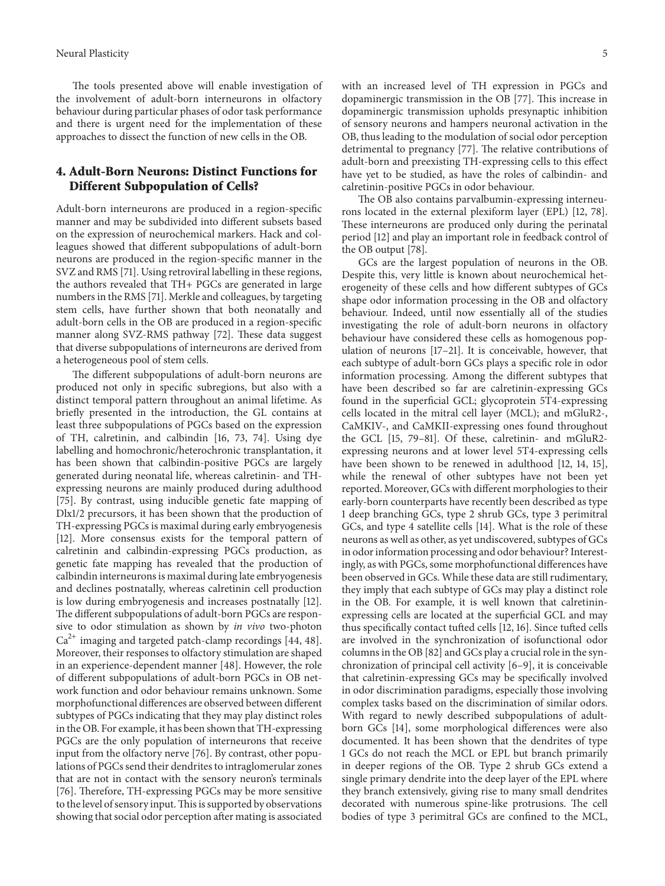The tools presented above will enable investigation of the involvement of adult-born interneurons in olfactory behaviour during particular phases of odor task performance and there is urgent need for the implementation of these approaches to dissect the function of new cells in the OB.

#### **4. Adult-Born Neurons: Distinct Functions for Different Subpopulation of Cells?**

Adult-born interneurons are produced in a region-specific manner and may be subdivided into different subsets based on the expression of neurochemical markers. Hack and colleagues showed that different subpopulations of adult-born neurons are produced in the region-specific manner in the SVZ and RMS [71]. Using retroviral labelling in these regions, the authors revealed that TH+ PGCs are generated in large numbers in the RMS [71]. Merkle and colleagues, by targeting stem cells, have further shown that both neonatally and adult-born cells in the OB are produced in a region-specific manner along SVZ-RMS pathway [72]. These data suggest that diverse subpopulations of interneurons are derived from a heterogeneous pool of stem cells.

The different subpopulations of adult-born neurons are produced not only in specific subregions, but also with a distinct temporal pattern throughout an animal lifetime. As briefly presented in the introduction, the GL contains at least three subpopulations of PGCs based on the expression of TH, calretinin, and calbindin [16, 73, 74]. Using dye labelling and homochronic/heterochronic transplantation, it has been shown that calbindin-positive PGCs are largely generated during neonatal life, whereas calretinin- and THexpressing neurons are mainly produced during adulthood [75]. By contrast, using inducible genetic fate mapping of Dlx1/2 precursors, it has been shown that the production of TH-expressing PGCs is maximal during early embryogenesis [12]. More consensus exists for the temporal pattern of calretinin and calbindin-expressing PGCs production, as genetic fate mapping has revealed that the production of calbindin interneurons is maximal during late embryogenesis and declines postnatally, whereas calretinin cell production is low during embryogenesis and increases postnatally [12]. The different subpopulations of adult-born PGCs are responsive to odor stimulation as shown by *in vivo* two-photon  $Ca^{2+}$  imaging and targeted patch-clamp recordings [44, 48]. Moreover, their responses to olfactory stimulation are shaped in an experience-dependent manner [48]. However, the role of different subpopulations of adult-born PGCs in OB network function and odor behaviour remains unknown. Some morphofunctional differences are observed between different subtypes of PGCs indicating that they may play distinct roles in the OB. For example, it has been shown that TH-expressing PGCs are the only population of interneurons that receive input from the olfactory nerve [76]. By contrast, other populations of PGCs send their dendrites to intraglomerular zones that are not in contact with the sensory neuron's terminals [76]. Therefore, TH-expressing PGCs may be more sensitive to the level of sensory input.This is supported by observations showing that social odor perception after mating is associated

with an increased level of TH expression in PGCs and dopaminergic transmission in the OB [77]. This increase in dopaminergic transmission upholds presynaptic inhibition of sensory neurons and hampers neuronal activation in the OB, thus leading to the modulation of social odor perception detrimental to pregnancy [77]. The relative contributions of adult-born and preexisting TH-expressing cells to this effect have yet to be studied, as have the roles of calbindin- and calretinin-positive PGCs in odor behaviour.

The OB also contains parvalbumin-expressing interneurons located in the external plexiform layer (EPL) [12, 78]. These interneurons are produced only during the perinatal period [12] and play an important role in feedback control of the OB output [78].

GCs are the largest population of neurons in the OB. Despite this, very little is known about neurochemical heterogeneity of these cells and how different subtypes of GCs shape odor information processing in the OB and olfactory behaviour. Indeed, until now essentially all of the studies investigating the role of adult-born neurons in olfactory behaviour have considered these cells as homogenous population of neurons [17–21]. It is conceivable, however, that each subtype of adult-born GCs plays a specific role in odor information processing. Among the different subtypes that have been described so far are calretinin-expressing GCs found in the superficial GCL; glycoprotein 5T4-expressing cells located in the mitral cell layer (MCL); and mGluR2-, CaMKIV-, and CaMKII-expressing ones found throughout the GCL [15, 79–81]. Of these, calretinin- and mGluR2 expressing neurons and at lower level 5T4-expressing cells have been shown to be renewed in adulthood [12, 14, 15], while the renewal of other subtypes have not been yet reported. Moreover, GCs with different morphologies to their early-born counterparts have recently been described as type 1 deep branching GCs, type 2 shrub GCs, type 3 perimitral GCs, and type 4 satellite cells [14]. What is the role of these neurons as well as other, as yet undiscovered, subtypes of GCs in odor information processing and odor behaviour? Interestingly, as with PGCs, some morphofunctional differences have been observed in GCs. While these data are still rudimentary, they imply that each subtype of GCs may play a distinct role in the OB. For example, it is well known that calretininexpressing cells are located at the superficial GCL and may thus specifically contact tufted cells [12, 16]. Since tufted cells are involved in the synchronization of isofunctional odor columns in the OB [82] and GCs play a crucial role in the synchronization of principal cell activity [6–9], it is conceivable that calretinin-expressing GCs may be specifically involved in odor discrimination paradigms, especially those involving complex tasks based on the discrimination of similar odors. With regard to newly described subpopulations of adultborn GCs [14], some morphological differences were also documented. It has been shown that the dendrites of type 1 GCs do not reach the MCL or EPL but branch primarily in deeper regions of the OB. Type 2 shrub GCs extend a single primary dendrite into the deep layer of the EPL where they branch extensively, giving rise to many small dendrites decorated with numerous spine-like protrusions. The cell bodies of type 3 perimitral GCs are confined to the MCL,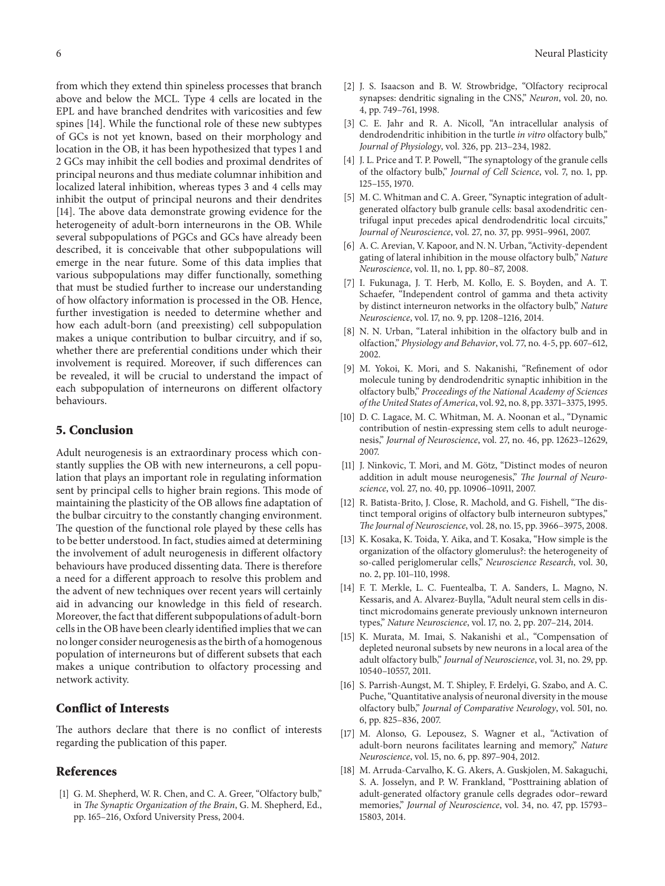from which they extend thin spineless processes that branch above and below the MCL. Type 4 cells are located in the EPL and have branched dendrites with varicosities and few spines [14]. While the functional role of these new subtypes of GCs is not yet known, based on their morphology and location in the OB, it has been hypothesized that types 1 and 2 GCs may inhibit the cell bodies and proximal dendrites of principal neurons and thus mediate columnar inhibition and localized lateral inhibition, whereas types 3 and 4 cells may inhibit the output of principal neurons and their dendrites [14]. The above data demonstrate growing evidence for the heterogeneity of adult-born interneurons in the OB. While several subpopulations of PGCs and GCs have already been described, it is conceivable that other subpopulations will emerge in the near future. Some of this data implies that various subpopulations may differ functionally, something that must be studied further to increase our understanding of how olfactory information is processed in the OB. Hence, further investigation is needed to determine whether and how each adult-born (and preexisting) cell subpopulation makes a unique contribution to bulbar circuitry, and if so, whether there are preferential conditions under which their involvement is required. Moreover, if such differences can be revealed, it will be crucial to understand the impact of each subpopulation of interneurons on different olfactory behaviours.

#### **5. Conclusion**

Adult neurogenesis is an extraordinary process which constantly supplies the OB with new interneurons, a cell population that plays an important role in regulating information sent by principal cells to higher brain regions. This mode of maintaining the plasticity of the OB allows fine adaptation of the bulbar circuitry to the constantly changing environment. The question of the functional role played by these cells has to be better understood. In fact, studies aimed at determining the involvement of adult neurogenesis in different olfactory behaviours have produced dissenting data. There is therefore a need for a different approach to resolve this problem and the advent of new techniques over recent years will certainly aid in advancing our knowledge in this field of research. Moreover, the fact that different subpopulations of adult-born cells in the OB have been clearly identified implies that we can no longer consider neurogenesis as the birth of a homogenous population of interneurons but of different subsets that each makes a unique contribution to olfactory processing and network activity.

#### **Conflict of Interests**

The authors declare that there is no conflict of interests regarding the publication of this paper.

#### **References**

[1] G. M. Shepherd, W. R. Chen, and C. A. Greer, "Olfactory bulb," in *The Synaptic Organization of the Brain*, G. M. Shepherd, Ed., pp. 165–216, Oxford University Press, 2004.

- [2] J. S. Isaacson and B. W. Strowbridge, "Olfactory reciprocal synapses: dendritic signaling in the CNS," *Neuron*, vol. 20, no. 4, pp. 749–761, 1998.
- [3] C. E. Jahr and R. A. Nicoll, "An intracellular analysis of dendrodendritic inhibition in the turtle *in vitro* olfactory bulb," *Journal of Physiology*, vol. 326, pp. 213–234, 1982.
- [4] J. L. Price and T. P. Powell, "The synaptology of the granule cells of the olfactory bulb," *Journal of Cell Science*, vol. 7, no. 1, pp. 125–155, 1970.
- [5] M. C. Whitman and C. A. Greer, "Synaptic integration of adultgenerated olfactory bulb granule cells: basal axodendritic centrifugal input precedes apical dendrodendritic local circuits," *Journal of Neuroscience*, vol. 27, no. 37, pp. 9951–9961, 2007.
- [6] A. C. Arevian, V. Kapoor, and N. N. Urban, "Activity-dependent gating of lateral inhibition in the mouse olfactory bulb," *Nature Neuroscience*, vol. 11, no. 1, pp. 80–87, 2008.
- [7] I. Fukunaga, J. T. Herb, M. Kollo, E. S. Boyden, and A. T. Schaefer, "Independent control of gamma and theta activity by distinct interneuron networks in the olfactory bulb," *Nature Neuroscience*, vol. 17, no. 9, pp. 1208–1216, 2014.
- [8] N. N. Urban, "Lateral inhibition in the olfactory bulb and in olfaction," *Physiology and Behavior*, vol. 77, no. 4-5, pp. 607–612, 2002.
- [9] M. Yokoi, K. Mori, and S. Nakanishi, "Refinement of odor molecule tuning by dendrodendritic synaptic inhibition in the olfactory bulb," *Proceedings of the National Academy of Sciences of the United States of America*, vol. 92, no. 8, pp. 3371–3375, 1995.
- [10] D. C. Lagace, M. C. Whitman, M. A. Noonan et al., "Dynamic contribution of nestin-expressing stem cells to adult neurogenesis," *Journal of Neuroscience*, vol. 27, no. 46, pp. 12623–12629, 2007.
- [11] J. Ninkovic, T. Mori, and M. Götz, "Distinct modes of neuron addition in adult mouse neurogenesis," *The Journal of Neuroscience*, vol. 27, no. 40, pp. 10906–10911, 2007.
- [12] R. Batista-Brito, J. Close, R. Machold, and G. Fishell, "The distinct temporal origins of olfactory bulb interneuron subtypes," *The Journal of Neuroscience*, vol. 28, no. 15, pp. 3966–3975, 2008.
- [13] K. Kosaka, K. Toida, Y. Aika, and T. Kosaka, "How simple is the organization of the olfactory glomerulus?: the heterogeneity of so-called periglomerular cells," *Neuroscience Research*, vol. 30, no. 2, pp. 101–110, 1998.
- [14] F. T. Merkle, L. C. Fuentealba, T. A. Sanders, L. Magno, N. Kessaris, and A. Alvarez-Buylla, "Adult neural stem cells in distinct microdomains generate previously unknown interneuron types," *Nature Neuroscience*, vol. 17, no. 2, pp. 207–214, 2014.
- [15] K. Murata, M. Imai, S. Nakanishi et al., "Compensation of depleted neuronal subsets by new neurons in a local area of the adult olfactory bulb," *Journal of Neuroscience*, vol. 31, no. 29, pp. 10540–10557, 2011.
- [16] S. Parrish-Aungst, M. T. Shipley, F. Erdelyi, G. Szabo, and A. C. Puche, "Quantitative analysis of neuronal diversity in the mouse olfactory bulb," *Journal of Comparative Neurology*, vol. 501, no. 6, pp. 825–836, 2007.
- [17] M. Alonso, G. Lepousez, S. Wagner et al., "Activation of adult-born neurons facilitates learning and memory," *Nature Neuroscience*, vol. 15, no. 6, pp. 897–904, 2012.
- [18] M. Arruda-Carvalho, K. G. Akers, A. Guskjolen, M. Sakaguchi, S. A. Josselyn, and P. W. Frankland, "Posttraining ablation of adult-generated olfactory granule cells degrades odor–reward memories," *Journal of Neuroscience*, vol. 34, no. 47, pp. 15793– 15803, 2014.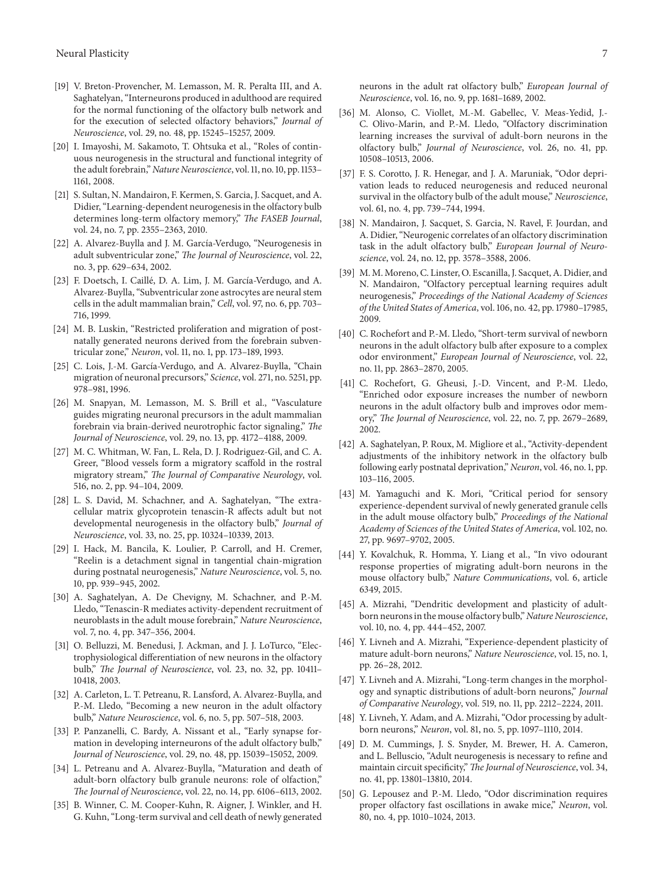- [19] V. Breton-Provencher, M. Lemasson, M. R. Peralta III, and A. Saghatelyan, "Interneurons produced in adulthood are required for the normal functioning of the olfactory bulb network and for the execution of selected olfactory behaviors," *Journal of Neuroscience*, vol. 29, no. 48, pp. 15245–15257, 2009.
- [20] I. Imayoshi, M. Sakamoto, T. Ohtsuka et al., "Roles of continuous neurogenesis in the structural and functional integrity of the adult forebrain," *Nature Neuroscience*, vol. 11, no. 10, pp. 1153– 1161, 2008.
- [21] S. Sultan, N. Mandairon, F. Kermen, S. Garcia, J. Sacquet, and A. Didier, "Learning-dependent neurogenesis in the olfactory bulb determines long-term olfactory memory," *The FASEB Journal*, vol. 24, no. 7, pp. 2355–2363, 2010.
- [22] A. Alvarez-Buylla and J. M. García-Verdugo, "Neurogenesis in adult subventricular zone," *The Journal of Neuroscience*, vol. 22, no. 3, pp. 629–634, 2002.
- [23] F. Doetsch, I. Caillé, D. A. Lim, J. M. García-Verdugo, and A. Alvarez-Buylla, "Subventricular zone astrocytes are neural stem cells in the adult mammalian brain," *Cell*, vol. 97, no. 6, pp. 703– 716, 1999.
- [24] M. B. Luskin, "Restricted proliferation and migration of postnatally generated neurons derived from the forebrain subventricular zone," *Neuron*, vol. 11, no. 1, pp. 173–189, 1993.
- [25] C. Lois, J.-M. García-Verdugo, and A. Alvarez-Buylla, "Chain migration of neuronal precursors," *Science*, vol. 271, no. 5251, pp. 978–981, 1996.
- [26] M. Snapyan, M. Lemasson, M. S. Brill et al., "Vasculature guides migrating neuronal precursors in the adult mammalian forebrain via brain-derived neurotrophic factor signaling," *The Journal of Neuroscience*, vol. 29, no. 13, pp. 4172–4188, 2009.
- [27] M. C. Whitman, W. Fan, L. Rela, D. J. Rodriguez-Gil, and C. A. Greer, "Blood vessels form a migratory scaffold in the rostral migratory stream," *The Journal of Comparative Neurology*, vol. 516, no. 2, pp. 94–104, 2009.
- [28] L. S. David, M. Schachner, and A. Saghatelyan, "The extracellular matrix glycoprotein tenascin-R affects adult but not developmental neurogenesis in the olfactory bulb," *Journal of Neuroscience*, vol. 33, no. 25, pp. 10324–10339, 2013.
- [29] I. Hack, M. Bancila, K. Loulier, P. Carroll, and H. Cremer, "Reelin is a detachment signal in tangential chain-migration during postnatal neurogenesis," *Nature Neuroscience*, vol. 5, no. 10, pp. 939–945, 2002.
- [30] A. Saghatelyan, A. De Chevigny, M. Schachner, and P.-M. Lledo, "Tenascin-R mediates activity-dependent recruitment of neuroblasts in the adult mouse forebrain," *Nature Neuroscience*, vol. 7, no. 4, pp. 347–356, 2004.
- [31] O. Belluzzi, M. Benedusi, J. Ackman, and J. J. LoTurco, "Electrophysiological differentiation of new neurons in the olfactory bulb," *The Journal of Neuroscience*, vol. 23, no. 32, pp. 10411– 10418, 2003.
- [32] A. Carleton, L. T. Petreanu, R. Lansford, A. Alvarez-Buylla, and P.-M. Lledo, "Becoming a new neuron in the adult olfactory bulb," *Nature Neuroscience*, vol. 6, no. 5, pp. 507–518, 2003.
- [33] P. Panzanelli, C. Bardy, A. Nissant et al., "Early synapse formation in developing interneurons of the adult olfactory bulb," *Journal of Neuroscience*, vol. 29, no. 48, pp. 15039–15052, 2009.
- [34] L. Petreanu and A. Alvarez-Buylla, "Maturation and death of adult-born olfactory bulb granule neurons: role of olfaction," *The Journal of Neuroscience*, vol. 22, no. 14, pp. 6106–6113, 2002.
- [35] B. Winner, C. M. Cooper-Kuhn, R. Aigner, J. Winkler, and H. G. Kuhn, "Long-term survival and cell death of newly generated

neurons in the adult rat olfactory bulb," *European Journal of Neuroscience*, vol. 16, no. 9, pp. 1681–1689, 2002.

- [36] M. Alonso, C. Viollet, M.-M. Gabellec, V. Meas-Yedid, J.- C. Olivo-Marin, and P.-M. Lledo, "Olfactory discrimination learning increases the survival of adult-born neurons in the olfactory bulb," *Journal of Neuroscience*, vol. 26, no. 41, pp. 10508–10513, 2006.
- [37] F. S. Corotto, J. R. Henegar, and J. A. Maruniak, "Odor deprivation leads to reduced neurogenesis and reduced neuronal survival in the olfactory bulb of the adult mouse," *Neuroscience*, vol. 61, no. 4, pp. 739–744, 1994.
- [38] N. Mandairon, J. Sacquet, S. Garcia, N. Ravel, F. Jourdan, and A. Didier, "Neurogenic correlates of an olfactory discrimination task in the adult olfactory bulb," *European Journal of Neuroscience*, vol. 24, no. 12, pp. 3578–3588, 2006.
- [39] M. M. Moreno, C. Linster, O. Escanilla, J. Sacquet, A. Didier, and N. Mandairon, "Olfactory perceptual learning requires adult neurogenesis," *Proceedings of the National Academy of Sciences of the United States of America*, vol. 106, no. 42, pp. 17980–17985, 2009.
- [40] C. Rochefort and P.-M. Lledo, "Short-term survival of newborn neurons in the adult olfactory bulb after exposure to a complex odor environment," *European Journal of Neuroscience*, vol. 22, no. 11, pp. 2863–2870, 2005.
- [41] C. Rochefort, G. Gheusi, J.-D. Vincent, and P.-M. Lledo, "Enriched odor exposure increases the number of newborn neurons in the adult olfactory bulb and improves odor memory," *The Journal of Neuroscience*, vol. 22, no. 7, pp. 2679–2689, 2002.
- [42] A. Saghatelyan, P. Roux, M. Migliore et al., "Activity-dependent adjustments of the inhibitory network in the olfactory bulb following early postnatal deprivation," *Neuron*, vol. 46, no. 1, pp. 103–116, 2005.
- [43] M. Yamaguchi and K. Mori, "Critical period for sensory experience-dependent survival of newly generated granule cells in the adult mouse olfactory bulb," *Proceedings of the National Academy of Sciences of the United States of America*, vol. 102, no. 27, pp. 9697–9702, 2005.
- [44] Y. Kovalchuk, R. Homma, Y. Liang et al., "In vivo odourant response properties of migrating adult-born neurons in the mouse olfactory bulb," *Nature Communications*, vol. 6, article 6349, 2015.
- [45] A. Mizrahi, "Dendritic development and plasticity of adultborn neurons in the mouse olfactory bulb," *Nature Neuroscience*, vol. 10, no. 4, pp. 444–452, 2007.
- [46] Y. Livneh and A. Mizrahi, "Experience-dependent plasticity of mature adult-born neurons," *Nature Neuroscience*, vol. 15, no. 1, pp. 26–28, 2012.
- [47] Y. Livneh and A. Mizrahi, "Long-term changes in the morphology and synaptic distributions of adult-born neurons," *Journal of Comparative Neurology*, vol. 519, no. 11, pp. 2212–2224, 2011.
- [48] Y. Livneh, Y. Adam, and A. Mizrahi, "Odor processing by adultborn neurons," *Neuron*, vol. 81, no. 5, pp. 1097–1110, 2014.
- [49] D. M. Cummings, J. S. Snyder, M. Brewer, H. A. Cameron, and L. Belluscio, "Adult neurogenesis is necessary to refine and maintain circuit specificity," *The Journal of Neuroscience*, vol. 34, no. 41, pp. 13801–13810, 2014.
- [50] G. Lepousez and P.-M. Lledo, "Odor discrimination requires proper olfactory fast oscillations in awake mice," *Neuron*, vol. 80, no. 4, pp. 1010–1024, 2013.